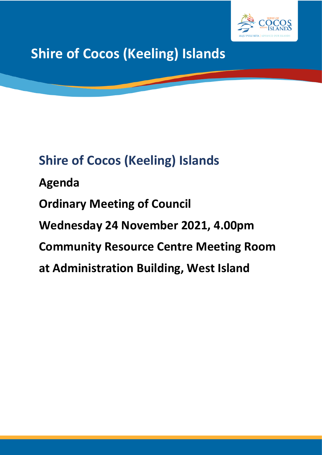

**Shire of Cocos (Keeling) Islands**

# **Shire of Cocos (Keeling) Islands**

**Agenda Ordinary Meeting of Council Wednesday 24 November 2021, 4.00pm Community Resource Centre Meeting Room at Administration Building, West Island**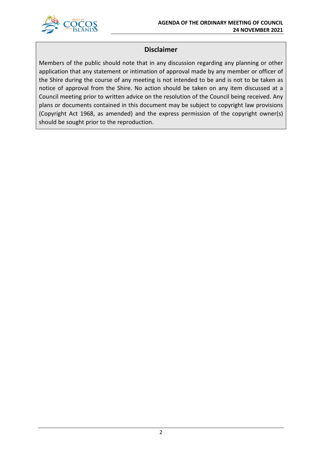

# **Disclaimer**

Members of the public should note that in any discussion regarding any planning or other application that any statement or intimation of approval made by any member or officer of the Shire during the course of any meeting is not intended to be and is not to be taken as notice of approval from the Shire. No action should be taken on any item discussed at a Council meeting prior to written advice on the resolution of the Council being received. Any plans or documents contained in this document may be subject to copyright law provisions (Copyright Act 1968, as amended) and the express permission of the copyright owner(s) should be sought prior to the reproduction.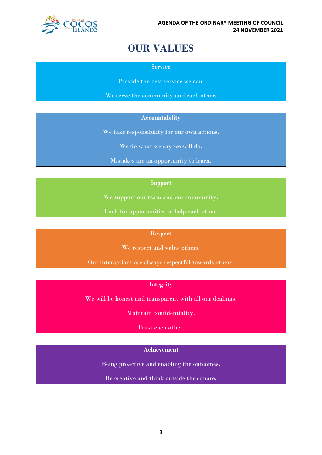

# **OUR VALUES**

**Service**

Provide the best service we can.

We serve the community and each other.

### **Accountability**

We take responsibility for our own actions.

We do what we say we will do.

Mistakes are an opportunity to learn.

#### **Support**

We support our team and our community.

Look for opportunities to help each other.

#### **Respect**

We respect and value others.

Our interactions are always respectful towards others.

# **Integrity**

We will be honest and transparent with all our dealings.

Maintain confidentiality.

Trust each other.

# **Achievement**

Being proactive and enabling the outcomes.

Be creative and think outside the square.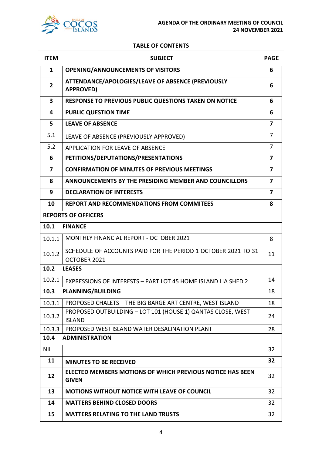

#### **TABLE OF CONTENTS**

| <b>ITEM</b>    | <b>SUBJECT</b>                                                                   | <b>PAGE</b>    |  |
|----------------|----------------------------------------------------------------------------------|----------------|--|
| $\mathbf{1}$   | <b>OPENING/ANNOUNCEMENTS OF VISITORS</b>                                         | 6              |  |
| $\overline{2}$ | ATTENDANCE/APOLOGIES/LEAVE OF ABSENCE (PREVIOUSLY<br><b>APPROVED)</b>            | 6              |  |
| 3              | <b>RESPONSE TO PREVIOUS PUBLIC QUESTIONS TAKEN ON NOTICE</b>                     |                |  |
| 4              | <b>PUBLIC QUESTION TIME</b>                                                      | 6              |  |
| 5              | <b>LEAVE OF ABSENCE</b>                                                          | 7              |  |
| 5.1            | LEAVE OF ABSENCE (PREVIOUSLY APPROVED)                                           | $\overline{7}$ |  |
| 5.2            | APPLICATION FOR LEAVE OF ABSENCE                                                 | 7              |  |
| 6              | PETITIONS/DEPUTATIONS/PRESENTATIONS                                              | 7              |  |
| $\overline{7}$ | <b>CONFIRMATION OF MINUTES OF PREVIOUS MEETINGS</b>                              | $\overline{7}$ |  |
| 8              | ANNOUNCEMENTS BY THE PRESIDING MEMBER AND COUNCILLORS                            | $\overline{7}$ |  |
| 9              | <b>DECLARATION OF INTERESTS</b>                                                  | 7              |  |
| 10             | <b>REPORT AND RECOMMENDATIONS FROM COMMITEES</b>                                 | 8              |  |
|                | <b>REPORTS OF OFFICERS</b>                                                       |                |  |
| 10.1           | <b>FINANCE</b>                                                                   |                |  |
| 10.1.1         | <b>MONTHLY FINANCIAL REPORT - OCTOBER 2021</b>                                   | 8              |  |
| 10.1.2         | SCHEDULE OF ACCOUNTS PAID FOR THE PERIOD 1 OCTOBER 2021 TO 31<br>OCTOBER 2021    | 11             |  |
| 10.2           | <b>LEASES</b>                                                                    |                |  |
| 10.2.1         | EXPRESSIONS OF INTERESTS - PART LOT 45 HOME ISLAND LIA SHED 2                    | 14             |  |
| 10.3           | <b>PLANNING/BUILDING</b>                                                         | 18             |  |
| 10.3.1         | PROPOSED CHALETS - THE BIG BARGE ART CENTRE, WEST ISLAND                         | 18             |  |
| 10.3.2         | PROPOSED OUTBUILDING - LOT 101 (HOUSE 1) QANTAS CLOSE, WEST<br><b>ISLAND</b>     | 24             |  |
| 10.3.3         | PROPOSED WEST ISLAND WATER DESALINATION PLANT                                    | 28             |  |
| 10.4           | <b>ADMINISTRATION</b>                                                            |                |  |
| <b>NIL</b>     |                                                                                  | 32             |  |
| 11             | <b>MINUTES TO BE RECEIVED</b>                                                    | 32             |  |
| 12             | <b>ELECTED MEMBERS MOTIONS OF WHICH PREVIOUS NOTICE HAS BEEN</b><br><b>GIVEN</b> | 32             |  |
| 13             | <b>MOTIONS WITHOUT NOTICE WITH LEAVE OF COUNCIL</b>                              | 32             |  |
| 14             | <b>MATTERS BEHIND CLOSED DOORS</b>                                               | 32             |  |
| 15             | <b>MATTERS RELATING TO THE LAND TRUSTS</b>                                       | 32             |  |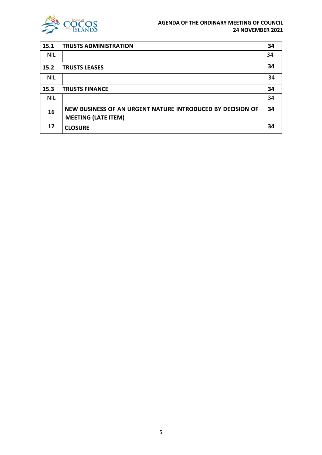

| 15.1       | <b>TRUSTS ADMINISTRATION</b>                               | 34 |
|------------|------------------------------------------------------------|----|
| <b>NIL</b> |                                                            | 34 |
| 15.2       | <b>TRUSTS LEASES</b>                                       | 34 |
| <b>NIL</b> |                                                            | 34 |
| 15.3       | <b>TRUSTS FINANCE</b>                                      | 34 |
| <b>NIL</b> |                                                            | 34 |
| 16         | NEW BUSINESS OF AN URGENT NATURE INTRODUCED BY DECISION OF | 34 |
|            | <b>MEETING (LATE ITEM)</b>                                 |    |
| 17         | <b>CLOSURE</b>                                             | 34 |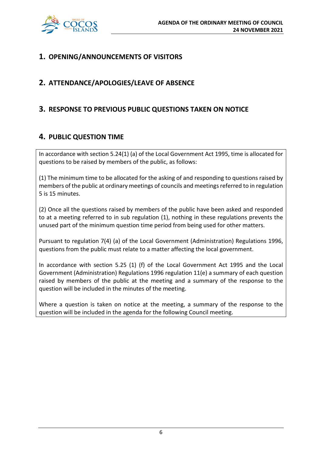

# **1. OPENING/ANNOUNCEMENTS OF VISITORS**

# **2. ATTENDANCE/APOLOGIES/LEAVE OF ABSENCE**

# **3. RESPONSE TO PREVIOUS PUBLIC QUESTIONS TAKEN ON NOTICE**

# **4. PUBLIC QUESTION TIME**

In accordance with section 5.24(1) (a) of the Local Government Act 1995, time is allocated for questions to be raised by members of the public, as follows:

(1) The minimum time to be allocated for the asking of and responding to questions raised by members of the public at ordinary meetings of councils and meetings referred to in regulation 5 is 15 minutes.

(2) Once all the questions raised by members of the public have been asked and responded to at a meeting referred to in sub regulation (1), nothing in these regulations prevents the unused part of the minimum question time period from being used for other matters.

Pursuant to regulation 7(4) (a) of the Local Government (Administration) Regulations 1996, questions from the public must relate to a matter affecting the local government.

In accordance with section 5.25 (1) (f) of the Local Government Act 1995 and the Local Government (Administration) Regulations 1996 regulation 11(e) a summary of each question raised by members of the public at the meeting and a summary of the response to the question will be included in the minutes of the meeting.

Where a question is taken on notice at the meeting, a summary of the response to the question will be included in the agenda for the following Council meeting.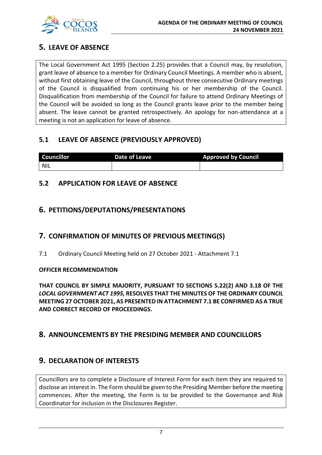

# **5. LEAVE OF ABSENCE**

The Local Government Act 1995 (Section 2.25) provides that a Council may, by resolution, grant leave of absence to a member for Ordinary Council Meetings. A member who is absent, without first obtaining leave of the Council, throughout three consecutive Ordinary meetings of the Council is disqualified from continuing his or her membership of the Council. Disqualification from membership of the Council for failure to attend Ordinary Meetings of the Council will be avoided so long as the Council grants leave prior to the member being absent. The leave cannot be granted retrospectively. An apology for non-attendance at a meeting is not an application for leave of absence.

# **5.1 LEAVE OF ABSENCE (PREVIOUSLY APPROVED)**

| <b>Councillor</b> | Date of Leave | <b>Approved by Council</b> |
|-------------------|---------------|----------------------------|
| <b>NIL</b>        |               |                            |

# **5.2 APPLICATION FOR LEAVE OF ABSENCE**

# **6. PETITIONS/DEPUTATIONS/PRESENTATIONS**

# **7. CONFIRMATION OF MINUTES OF PREVIOUS MEETING(S)**

7.1 Ordinary Council Meeting held on 27 October 2021 - Attachment 7.1

# **OFFICER RECOMMENDATION**

**THAT COUNCIL BY SIMPLE MAJORITY, PURSUANT TO SECTIONS 5.22(2) AND 3.18 OF THE**  *LOCAL GOVERNMENT ACT 1995,* **RESOLVES THAT THE MINUTES OF THE ORDINARY COUNCIL MEETING 27 OCTOBER 2021, AS PRESENTED IN ATTACHMENT 7.1 BE CONFIRMED AS A TRUE AND CORRECT RECORD OF PROCEEDINGS.**

# **8. ANNOUNCEMENTS BY THE PRESIDING MEMBER AND COUNCILLORS**

# **9. DECLARATION OF INTERESTS**

Councillors are to complete a Disclosure of Interest Form for each item they are required to disclose an interest in. The Form should be given to the Presiding Member before the meeting commences. After the meeting, the Form is to be provided to the Governance and Risk Coordinator for inclusion in the Disclosures Register.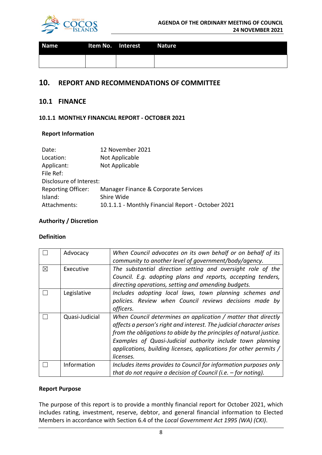

| <b>Name</b> | Item No. Interest Nature |  |
|-------------|--------------------------|--|
|             |                          |  |

# **10. REPORT AND RECOMMENDATIONS OF COMMITTEE**

# **10.1 FINANCE**

# **10.1.1 MONTHLY FINANCIAL REPORT - OCTOBER 2021**

# **Report Information**

| 12 November 2021                                   |
|----------------------------------------------------|
| Not Applicable                                     |
| Not Applicable                                     |
|                                                    |
| Disclosure of Interest:                            |
| Manager Finance & Corporate Services               |
| Shire Wide                                         |
| 10.1.1.1 - Monthly Financial Report - October 2021 |
|                                                    |

# **Authority / Discretion**

# **Definition**

|             | Advocacy       | When Council advocates on its own behalf or on behalf of its<br>community to another level of government/body/agency.                                                                                                                                                                                                                                        |
|-------------|----------------|--------------------------------------------------------------------------------------------------------------------------------------------------------------------------------------------------------------------------------------------------------------------------------------------------------------------------------------------------------------|
| $\boxtimes$ | Executive      | The substantial direction setting and oversight role of the<br>Council. E.g. adopting plans and reports, accepting tenders,<br>directing operations, setting and amending budgets.                                                                                                                                                                           |
|             | Legislative    | Includes adopting local laws, town planning schemes and<br>policies. Review when Council reviews decisions made by<br>officers.                                                                                                                                                                                                                              |
|             | Quasi-Judicial | When Council determines an application / matter that directly<br>affects a person's right and interest. The judicial character arises<br>from the obligations to abide by the principles of natural justice.<br>Examples of Quasi-Judicial authority include town planning<br>applications, building licenses, applications for other permits /<br>licenses. |
|             | Information    | Includes items provides to Council for information purposes only<br>that do not require a decision of Council (i.e. $-$ for noting).                                                                                                                                                                                                                         |

# **Report Purpose**

The purpose of this report is to provide a monthly financial report for October 2021, which includes rating, investment, reserve, debtor, and general financial information to Elected Members in accordance with Section 6.4 of the *Local Government Act 1995 (WA) (CKI)*.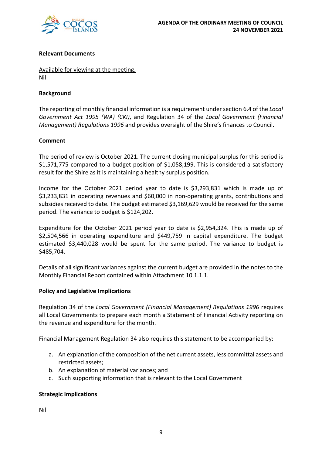

# **Relevant Documents**

Available for viewing at the meeting. Nil

# **Background**

The reporting of monthly financial information is a requirement under section 6.4 of the *Local Government Act 1995 (WA) (CKI)*, and Regulation 34 of the *Local Government (Financial Management) Regulations 1996* and provides oversight of the Shire's finances to Council.

# **Comment**

The period of review is October 2021. The current closing municipal surplus for this period is \$1,571,775 compared to a budget position of \$1,058,199. This is considered a satisfactory result for the Shire as it is maintaining a healthy surplus position.

Income for the October 2021 period year to date is \$3,293,831 which is made up of \$3,233,831 in operating revenues and \$60,000 in non-operating grants, contributions and subsidies received to date. The budget estimated \$3,169,629 would be received for the same period. The variance to budget is \$124,202.

Expenditure for the October 2021 period year to date is \$2,954,324. This is made up of \$2,504,566 in operating expenditure and \$449,759 in capital expenditure. The budget estimated \$3,440,028 would be spent for the same period. The variance to budget is \$485,704.

Details of all significant variances against the current budget are provided in the notes to the Monthly Financial Report contained within Attachment 10.1.1.1.

# **Policy and Legislative Implications**

Regulation 34 of the *Local Government (Financial Management) Regulations 1996* requires all Local Governments to prepare each month a Statement of Financial Activity reporting on the revenue and expenditure for the month.

Financial Management Regulation 34 also requires this statement to be accompanied by:

- a. An explanation of the composition of the net current assets, less committal assets and restricted assets;
- b. An explanation of material variances; and
- c. Such supporting information that is relevant to the Local Government

# **Strategic Implications**

Nil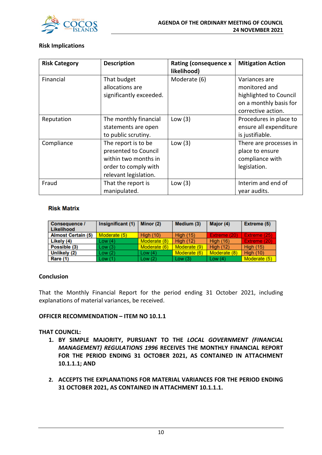

# **Risk Implications**

| <b>Risk Category</b> | <b>Description</b>      | <b>Rating (consequence x</b><br>likelihood) | <b>Mitigation Action</b> |
|----------------------|-------------------------|---------------------------------------------|--------------------------|
| Financial            | That budget             | Moderate (6)                                | Variances are            |
|                      | allocations are         |                                             | monitored and            |
|                      | significantly exceeded. |                                             | highlighted to Council   |
|                      |                         |                                             | on a monthly basis for   |
|                      |                         |                                             | corrective action.       |
| Reputation           | The monthly financial   | Low $(3)$                                   | Procedures in place to   |
|                      | statements are open     |                                             | ensure all expenditure   |
|                      | to public scrutiny.     |                                             | is justifiable.          |
| Compliance           | The report is to be     | Low $(3)$                                   | There are processes in   |
|                      | presented to Council    |                                             | place to ensure          |
|                      | within two months in    |                                             | compliance with          |
|                      | order to comply with    |                                             | legislation.             |
|                      | relevant legislation.   |                                             |                          |
| Fraud                | That the report is      | Low $(3)$                                   | Interim and end of       |
|                      | manipulated.            |                                             | year audits.             |

# **Risk Matrix**

| <b>Consequence /</b><br>Likelihood | Insignificant (1) | Minor (2)        | Medium (3)       | Major (4)        | Extreme (5)      |
|------------------------------------|-------------------|------------------|------------------|------------------|------------------|
| <b>Almost Certain (5)</b>          | Moderate (5)      | <b>High (10)</b> | <b>High (15)</b> | Extreme (20)     | Extreme (25)     |
| Likely (4)                         | Low (4)           | Moderate (8)     | High $(12)$      | <b>High (16)</b> | Extreme (20)     |
| Possible (3)                       | Low (3)           | Moderate (6)     | Moderate (9)     | <b>High (12)</b> | <b>High (15)</b> |
| Unlikely (2)                       | Low (2)           | Low $(4)$        | Moderate (6)     | Moderate (8)     | <b>High (10)</b> |
| <b>Rare (1)</b>                    | Low (1)           | Low $(2)$        | Low(3)           | Low $(4)$        | Moderate (5)     |

# **Conclusion**

That the Monthly Financial Report for the period ending 31 October 2021, including explanations of material variances, be received.

# **OFFICER RECOMMENDATION – ITEM NO 10.1.1**

# **THAT COUNCIL:**

- **1. BY SIMPLE MAJORITY, PURSUANT TO THE** *LOCAL GOVERNMENT (FINANCIAL MANAGEMENT) REGULATIONS 1996* **RECEIVES THE MONTHLY FINANCIAL REPORT FOR THE PERIOD ENDING 31 OCTOBER 2021, AS CONTAINED IN ATTACHMENT 10.1.1.1; AND**
- **2. ACCEPTS THE EXPLANATIONS FOR MATERIAL VARIANCES FOR THE PERIOD ENDING 31 OCTOBER 2021, AS CONTAINED IN ATTACHMENT 10.1.1.1.**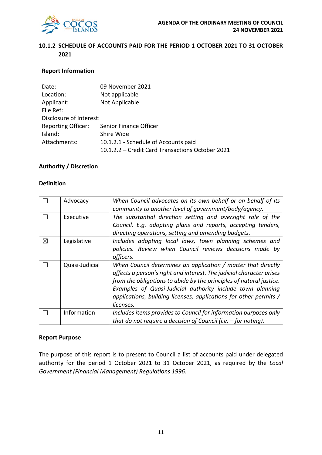

# **10.1.2 SCHEDULE OF ACCOUNTS PAID FOR THE PERIOD 1 OCTOBER 2021 TO 31 OCTOBER 2021**

# **Report Information**

| Date:                     | 09 November 2021                                 |
|---------------------------|--------------------------------------------------|
| Location:                 | Not applicable                                   |
| Applicant:                | Not Applicable                                   |
| File Ref:                 |                                                  |
| Disclosure of Interest:   |                                                  |
| <b>Reporting Officer:</b> | Senior Finance Officer                           |
| Island:                   | Shire Wide                                       |
| Attachments:              | 10.1.2.1 - Schedule of Accounts paid             |
|                           | 10.1.2.2 - Credit Card Transactions October 2021 |

#### **Authority / Discretion**

#### **Definition**

|   | Advocacy       | When Council advocates on its own behalf or on behalf of its         |  |  |
|---|----------------|----------------------------------------------------------------------|--|--|
|   |                | community to another level of government/body/agency.                |  |  |
|   | Executive      | The substantial direction setting and oversight role of the          |  |  |
|   |                | Council. E.g. adopting plans and reports, accepting tenders,         |  |  |
|   |                | directing operations, setting and amending budgets.                  |  |  |
| ⊠ | Legislative    | Includes adopting local laws, town planning schemes and              |  |  |
|   |                | policies. Review when Council reviews decisions made by              |  |  |
|   |                | officers.                                                            |  |  |
|   | Quasi-Judicial | When Council determines an application / matter that directly        |  |  |
|   |                | affects a person's right and interest. The judicial character arises |  |  |
|   |                | from the obligations to abide by the principles of natural justice.  |  |  |
|   |                | Examples of Quasi-Judicial authority include town planning           |  |  |
|   |                | applications, building licenses, applications for other permits /    |  |  |
|   |                | licenses.                                                            |  |  |
|   | Information    | Includes items provides to Council for information purposes only     |  |  |
|   |                | that do not require a decision of Council (i.e. $-$ for noting).     |  |  |

#### **Report Purpose**

The purpose of this report is to present to Council a list of accounts paid under delegated authority for the period 1 October 2021 to 31 October 2021, as required by the *Local Government (Financial Management) Regulations 1996*.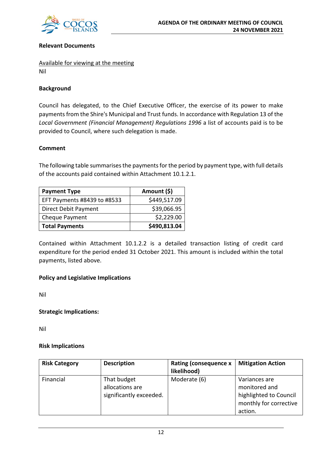

# **Relevant Documents**

Available for viewing at the meeting Nil

# **Background**

Council has delegated, to the Chief Executive Officer, the exercise of its power to make payments from the Shire's Municipal and Trust funds. In accordance with Regulation 13 of the *Local Government (Financial Management) Regulations 1996* a list of accounts paid is to be provided to Council, where such delegation is made.

# **Comment**

The following table summarises the payments for the period by payment type, with full details of the accounts paid contained within Attachment 10.1.2.1.

| <b>Payment Type</b>         | Amount (\$)  |
|-----------------------------|--------------|
| EFT Payments #8439 to #8533 | \$449,517.09 |
| Direct Debit Payment        | \$39,066.95  |
| Cheque Payment              | \$2,229.00   |
| <b>Total Payments</b>       | \$490,813.04 |

Contained within Attachment 10.1.2.2 is a detailed transaction listing of credit card expenditure for the period ended 31 October 2021. This amount is included within the total payments, listed above.

# **Policy and Legislative Implications**

Nil

# **Strategic Implications:**

Nil

# **Risk Implications**

| <b>Risk Category</b> | <b>Description</b>                                        | <b>Rating (consequence x</b><br>likelihood) | <b>Mitigation Action</b>                                                                      |
|----------------------|-----------------------------------------------------------|---------------------------------------------|-----------------------------------------------------------------------------------------------|
| Financial            | That budget<br>allocations are<br>significantly exceeded. | Moderate (6)                                | Variances are<br>monitored and<br>highlighted to Council<br>monthly for corrective<br>action. |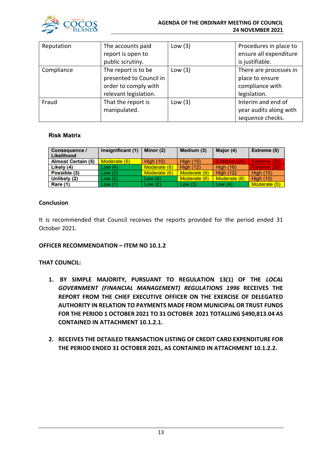

#### **AGENDA OF THE ORDINARY MEETING OF COUNCIL 24 NOVEMBER 2021**

| Reputation | The accounts paid       | Low $(3)$ | Procedures in place to |
|------------|-------------------------|-----------|------------------------|
|            | report is open to       |           | ensure all expenditure |
|            | public scrutiny.        |           | is justifiable.        |
| Compliance | The report is to be     | Low $(3)$ | There are processes in |
|            | presented to Council in |           | place to ensure        |
|            | order to comply with    |           | compliance with        |
|            | relevant legislation.   |           | legislation.           |
| Fraud      | That the report is      | Low $(3)$ | Interim and end of     |
|            | manipulated.            |           | year audits along with |
|            |                         |           | sequence checks.       |

# **Risk Matrix**

| Consequence /<br>Likelihood | Insignificant (1) | Minor (2)        | Medium (3)       | Major (4)        | Extreme (5)      |
|-----------------------------|-------------------|------------------|------------------|------------------|------------------|
| <b>Almost Certain (5)</b>   | Moderate (5)      | <b>High (10)</b> | <b>High (15)</b> | Extreme (20)     | Extreme (25)     |
| Likely (4)                  | Low(4)            | Moderate (8)     | <b>High (12)</b> | <b>High (16)</b> | Extreme (20)     |
| Possible (3)                | Low(3)            | Moderate (6)     | Moderate (9)     | <b>High (12)</b> | <b>High (15)</b> |
| Unlikely (2)                | Low(2)            | Low $(4)$        | Moderate (6)     | Moderate (8)     | <b>High (10)</b> |
| <b>Rare (1)</b>             | Low(1)            | Low(2)           | Low(3)           | Low $(4)$        | Moderate (5)     |

# **Conclusion**

It is recommended that Council receives the reports provided for the period ended 31 October 2021.

# **OFFICER RECOMMENDATION – ITEM NO 10.1.2**

# **THAT COUNCIL:**

- **1. BY SIMPLE MAJORITY, PURSUANT TO REGULATION 13(1) OF THE** *LOCAL GOVERNMENT (FINANCIAL MANAGEMENT) REGULATIONS 1996* **RECEIVES THE REPORT FROM THE CHIEF EXECUTIVE OFFICER ON THE EXERCISE OF DELEGATED AUTHORITY IN RELATION TO PAYMENTS MADE FROM MUNICIPAL OR TRUST FUNDS FOR THE PERIOD 1 OCTOBER 2021 TO 31 OCTOBER 2021 TOTALLING \$490,813.04 AS CONTAINED IN ATTACHMENT 10.1.2.1.**
- **2. RECEIVES THE DETAILED TRANSACTION LISTING OF CREDIT CARD EXPENDITURE FOR THE PERIOD ENDED 31 OCTOBER 2021, AS CONTAINED IN ATTACHMENT 10.1.2.2.**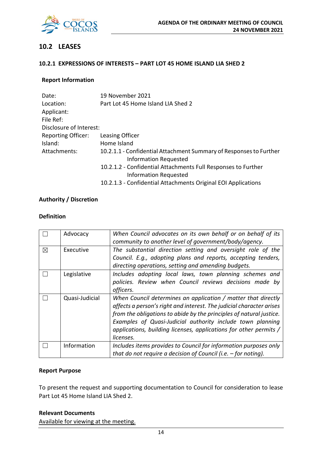

# **10.2 LEASES**

# **10.2.1 EXPRESSIONS OF INTERESTS – PART LOT 45 HOME ISLAND LIA SHED 2**

# **Report Information**

| Date:                     | 19 November 2021                                                                                   |
|---------------------------|----------------------------------------------------------------------------------------------------|
| Location:                 | Part Lot 45 Home Island LIA Shed 2                                                                 |
| Applicant:                |                                                                                                    |
| File Ref:                 |                                                                                                    |
| Disclosure of Interest:   |                                                                                                    |
| <b>Reporting Officer:</b> | Leasing Officer                                                                                    |
| Island:                   | Home Island                                                                                        |
| Attachments:              | 10.2.1.1 - Confidential Attachment Summary of Responses to Further<br><b>Information Requested</b> |
|                           | 10.2.1.2 - Confidential Attachments Full Responses to Further<br><b>Information Requested</b>      |
|                           | 10.2.1.3 - Confidential Attachments Original EOI Applications                                      |

# **Authority / Discretion**

# **Definition**

|   | Advocacy       | When Council advocates on its own behalf or on behalf of its<br>community to another level of government/body/agency.                                                                                                                                                                                                                                        |
|---|----------------|--------------------------------------------------------------------------------------------------------------------------------------------------------------------------------------------------------------------------------------------------------------------------------------------------------------------------------------------------------------|
| ⊠ | Executive      | The substantial direction setting and oversight role of the<br>Council. E.g., adopting plans and reports, accepting tenders,<br>directing operations, setting and amending budgets.                                                                                                                                                                          |
|   | Legislative    | Includes adopting local laws, town planning schemes and<br>policies. Review when Council reviews decisions made by<br>officers.                                                                                                                                                                                                                              |
|   | Quasi-Judicial | When Council determines an application / matter that directly<br>affects a person's right and interest. The judicial character arises<br>from the obligations to abide by the principles of natural justice.<br>Examples of Quasi-Judicial authority include town planning<br>applications, building licenses, applications for other permits /<br>licenses. |
|   | Information    | Includes items provides to Council for information purposes only<br>that do not require a decision of Council (i.e. $-$ for noting).                                                                                                                                                                                                                         |

### **Report Purpose**

To present the request and supporting documentation to Council for consideration to lease Part Lot 45 Home Island LIA Shed 2.

#### **Relevant Documents**

Available for viewing at the meeting.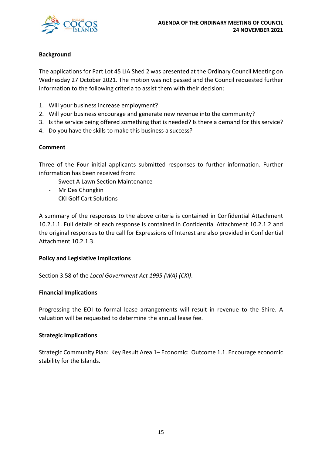

# **Background**

The applications for Part Lot 45 LIA Shed 2 was presented at the Ordinary Council Meeting on Wednesday 27 October 2021. The motion was not passed and the Council requested further information to the following criteria to assist them with their decision:

- 1. Will your business increase employment?
- 2. Will your business encourage and generate new revenue into the community?
- 3. Is the service being offered something that is needed? Is there a demand for this service?
- 4. Do you have the skills to make this business a success?

# **Comment**

Three of the Four initial applicants submitted responses to further information. Further information has been received from:

- Sweet A Lawn Section Maintenance
- Mr Des Chongkin
- CKI Golf Cart Solutions

A summary of the responses to the above criteria is contained in Confidential Attachment 10.2.1.1. Full details of each response is contained in Confidential Attachment 10.2.1.2 and the original responses to the call for Expressions of Interest are also provided in Confidential Attachment 10.2.1.3.

# **Policy and Legislative Implications**

Section 3.58 of the *Local Government Act 1995 (WA) (CKI)*.

# **Financial Implications**

Progressing the EOI to formal lease arrangements will result in revenue to the Shire. A valuation will be requested to determine the annual lease fee.

# **Strategic Implications**

Strategic Community Plan: Key Result Area 1– Economic: Outcome 1.1. Encourage economic stability for the Islands.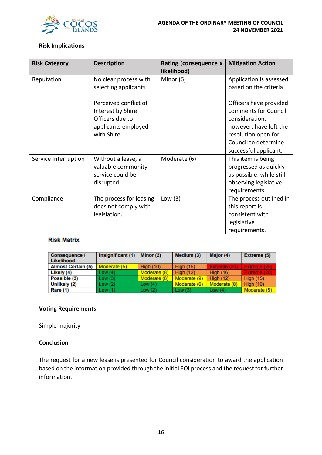

# **Risk Implications**

| <b>Risk Category</b> | <b>Description</b>                                                                                  | Rating (consequence $x \mid$<br>likelihood) | <b>Mitigation Action</b>                                                                                                                                           |
|----------------------|-----------------------------------------------------------------------------------------------------|---------------------------------------------|--------------------------------------------------------------------------------------------------------------------------------------------------------------------|
| Reputation           | No clear process with                                                                               | Minor (6)                                   | Application is assessed                                                                                                                                            |
|                      | selecting applicants                                                                                |                                             | based on the criteria                                                                                                                                              |
|                      | Perceived conflict of<br>Interest by Shire<br>Officers due to<br>applicants employed<br>with Shire. |                                             | Officers have provided<br>comments for Council<br>consideration,<br>however, have left the<br>resolution open for<br>Council to determine<br>successful applicant. |
| Service Interruption | Without a lease, a<br>valuable community<br>service could be<br>disrupted.                          | Moderate (6)                                | This item is being<br>progressed as quickly<br>as possible, while still<br>observing legislative<br>requirements.                                                  |
| Compliance           | The process for leasing<br>does not comply with<br>legislation.                                     | Low $(3)$                                   | The process outlined in<br>this report is<br>consistent with<br>legislative<br>requirements.                                                                       |

# **Risk Matrix**

| Consequence /<br>Likelihood | Insignificant (1) | Minor (2)        | Medium (3)       | Major (4)        | Extreme (5)      |
|-----------------------------|-------------------|------------------|------------------|------------------|------------------|
| <b>Almost Certain (5)</b>   | Moderate (5)      | <b>High (10)</b> | <b>High (15)</b> | Extreme (20)     | Extreme (25)     |
| Likely (4)                  | Low(4)            | Moderate (8)     | <b>High (12)</b> | <b>High (16)</b> | Extreme (20)     |
| Possible (3)                | Low(3)            | Moderate (6)     | Moderate (9)     | <b>High (12)</b> | <b>High (15)</b> |
| Unlikely (2)                | Low (2)           | Low $(4)$        | Moderate (6)     | Moderate (8)     | <b>High (10)</b> |
| <b>Rare (1)</b>             | Low (1)           | Low(2)           | Low $(3)$        | Low $(4)$        | Moderate (5)     |

# **Voting Requirements**

Simple majority

# **Conclusion**

The request for a new lease is presented for Council consideration to award the application based on the information provided through the initial EOI process and the request for further information.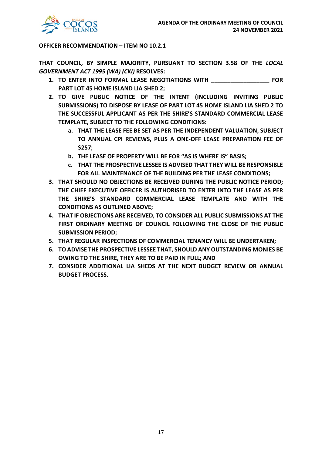

# **OFFICER RECOMMENDATION – ITEM NO 10.2.1**

**THAT COUNCIL, BY SIMPLE MAJORITY, PURSUANT TO SECTION 3.58 OF THE** *LOCAL GOVERNMENT ACT 1995 (WA) (CKI)* **RESOLVES:**

- **1. TO ENTER INTO FORMAL LEASE NEGOTIATIONS WITH \_\_\_\_\_\_\_\_\_\_\_\_\_\_\_\_\_\_ FOR PART LOT 45 HOME ISLAND LIA SHED 2;**
- **2. TO GIVE PUBLIC NOTICE OF THE INTENT (INCLUDING INVITING PUBLIC SUBMISSIONS) TO DISPOSE BY LEASE OF PART LOT 45 HOME ISLAND LIA SHED 2 TO THE SUCCESSFUL APPLICANT AS PER THE SHIRE'S STANDARD COMMERCIAL LEASE TEMPLATE, SUBJECT TO THE FOLLOWING CONDITIONS:**
	- **a. THAT THE LEASE FEE BE SET AS PER THE INDEPENDENT VALUATION, SUBJECT TO ANNUAL CPI REVIEWS, PLUS A ONE-OFF LEASE PREPARATION FEE OF \$257;**
	- **b. THE LEASE OF PROPERTY WILL BE FOR "AS IS WHERE IS" BASIS;**
	- **c. THAT THE PROSPECTIVE LESSEE IS ADVISED THAT THEY WILL BE RESPONSIBLE FOR ALL MAINTENANCE OF THE BUILDING PER THE LEASE CONDITIONS;**
- **3. THAT SHOULD NO OBJECTIONS BE RECEIVED DURING THE PUBLIC NOTICE PERIOD; THE CHIEF EXECUTIVE OFFICER IS AUTHORISED TO ENTER INTO THE LEASE AS PER THE SHIRE'S STANDARD COMMERCIAL LEASE TEMPLATE AND WITH THE CONDITIONS AS OUTLINED ABOVE;**
- **4. THAT IF OBJECTIONS ARE RECEIVED, TO CONSIDER ALL PUBLIC SUBMISSIONS AT THE FIRST ORDINARY MEETING OF COUNCIL FOLLOWING THE CLOSE OF THE PUBLIC SUBMISSION PERIOD;**
- **5. THAT REGULAR INSPECTIONS OF COMMERCIAL TENANCY WILL BE UNDERTAKEN;**
- **6. TO ADVISE THE PROSPECTIVE LESSEE THAT, SHOULD ANY OUTSTANDING MONIES BE OWING TO THE SHIRE, THEY ARE TO BE PAID IN FULL; AND**
- **7. CONSIDER ADDITIONAL LIA SHEDS AT THE NEXT BUDGET REVIEW OR ANNUAL BUDGET PROCESS.**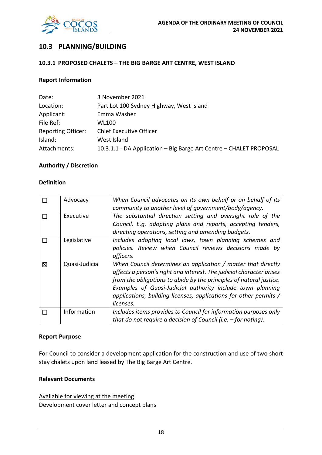

# **10.3 PLANNING/BUILDING**

### **10.3.1 PROPOSED CHALETS – THE BIG BARGE ART CENTRE, WEST ISLAND**

# **Report Information**

| Date:                     | 3 November 2021                                                    |
|---------------------------|--------------------------------------------------------------------|
| Location:                 | Part Lot 100 Sydney Highway, West Island                           |
| Applicant:                | Emma Washer                                                        |
| File Ref:                 | WL100                                                              |
| <b>Reporting Officer:</b> | <b>Chief Executive Officer</b>                                     |
| Island:                   | West Island                                                        |
| Attachments:              | 10.3.1.1 - DA Application - Big Barge Art Centre - CHALET PROPOSAL |

# **Authority / Discretion**

#### **Definition**

|   | Advocacy       | When Council advocates on its own behalf or on behalf of its         |
|---|----------------|----------------------------------------------------------------------|
|   |                | community to another level of government/body/agency.                |
|   | Executive      | The substantial direction setting and oversight role of the          |
|   |                | Council. E.g. adopting plans and reports, accepting tenders,         |
|   |                | directing operations, setting and amending budgets.                  |
|   | Legislative    | Includes adopting local laws, town planning schemes and              |
|   |                | policies. Review when Council reviews decisions made by              |
|   |                | officers.                                                            |
| 図 | Quasi-Judicial | When Council determines an application / matter that directly        |
|   |                | affects a person's right and interest. The judicial character arises |
|   |                | from the obligations to abide by the principles of natural justice.  |
|   |                | Examples of Quasi-Judicial authority include town planning           |
|   |                | applications, building licenses, applications for other permits /    |
|   |                | licenses.                                                            |
|   | Information    | Includes items provides to Council for information purposes only     |
|   |                | that do not require a decision of Council (i.e. $-$ for noting).     |

#### **Report Purpose**

For Council to consider a development application for the construction and use of two short stay chalets upon land leased by The Big Barge Art Centre.

# **Relevant Documents**

Available for viewing at the meeting Development cover letter and concept plans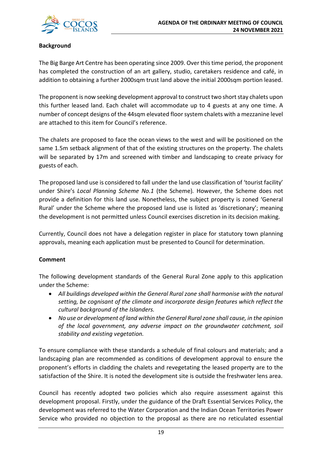

# **Background**

The Big Barge Art Centre has been operating since 2009. Over this time period, the proponent has completed the construction of an art gallery, studio, caretakers residence and café, in addition to obtaining a further 2000sqm trust land above the initial 2000sqm portion leased.

The proponent is now seeking development approval to construct two short stay chalets upon this further leased land. Each chalet will accommodate up to 4 guests at any one time. A number of concept designs of the 44sqm elevated floor system chalets with a mezzanine level are attached to this item for Council's reference.

The chalets are proposed to face the ocean views to the west and will be positioned on the same 1.5m setback alignment of that of the existing structures on the property. The chalets will be separated by 17m and screened with timber and landscaping to create privacy for guests of each.

The proposed land use is considered to fall under the land use classification of 'tourist facility' under Shire's *Local Planning Scheme No.1* (the Scheme)*.* However, the Scheme does not provide a definition for this land use. Nonetheless, the subject property is zoned 'General Rural' under the Scheme where the proposed land use is listed as 'discretionary'; meaning the development is not permitted unless Council exercises discretion in its decision making.

Currently, Council does not have a delegation register in place for statutory town planning approvals, meaning each application must be presented to Council for determination.

# **Comment**

The following development standards of the General Rural Zone apply to this application under the Scheme:

- *All buildings developed within the General Rural zone shall harmonise with the natural setting, be cognisant of the climate and incorporate design features which reflect the cultural background of the Islanders.*
- *No use or development of land within the General Rural zone shall cause, in the opinion of the local government, any adverse impact on the groundwater catchment, soil stability and existing vegetation.*

To ensure compliance with these standards a schedule of final colours and materials; and a landscaping plan are recommended as conditions of development approval to ensure the proponent's efforts in cladding the chalets and revegetating the leased property are to the satisfaction of the Shire. It is noted the development site is outside the freshwater lens area.

Council has recently adopted two policies which also require assessment against this development proposal. Firstly, under the guidance of the Draft Essential Services Policy, the development was referred to the Water Corporation and the Indian Ocean Territories Power Service who provided no objection to the proposal as there are no reticulated essential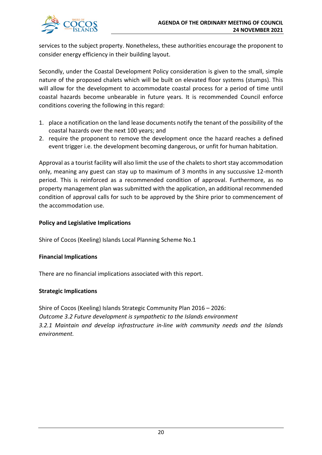

services to the subject property. Nonetheless, these authorities encourage the proponent to consider energy efficiency in their building layout.

Secondly, under the Coastal Development Policy consideration is given to the small, simple nature of the proposed chalets which will be built on elevated floor systems (stumps). This will allow for the development to accommodate coastal process for a period of time until coastal hazards become unbearable in future years. It is recommended Council enforce conditions covering the following in this regard:

- 1. place a notification on the land lease documents notify the tenant of the possibility of the coastal hazards over the next 100 years; and
- 2. require the proponent to remove the development once the hazard reaches a defined event trigger i.e. the development becoming dangerous, or unfit for human habitation.

Approval as a tourist facility will also limit the use of the chalets to short stay accommodation only, meaning any guest can stay up to maximum of 3 months in any succussive 12-month period. This is reinforced as a recommended condition of approval. Furthermore, as no property management plan was submitted with the application, an additional recommended condition of approval calls for such to be approved by the Shire prior to commencement of the accommodation use.

# **Policy and Legislative Implications**

Shire of Cocos (Keeling) Islands Local Planning Scheme No.1

# **Financial Implications**

There are no financial implications associated with this report.

# **Strategic Implications**

Shire of Cocos (Keeling) Islands Strategic Community Plan 2016 – 2026: *Outcome 3.2 Future development is sympathetic to the Islands environment 3.2.1 Maintain and develop infrastructure in-line with community needs and the Islands environment.*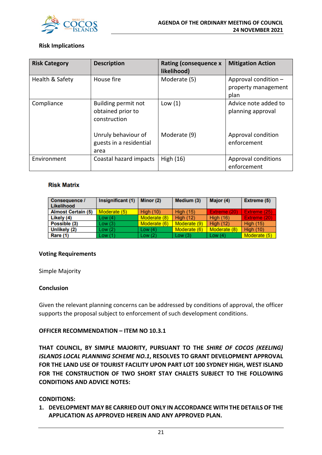

# **Risk Implications**

| <b>Risk Category</b> | <b>Description</b>                                       | <b>Rating (consequence x</b><br>likelihood) | <b>Mitigation Action</b>                            |
|----------------------|----------------------------------------------------------|---------------------------------------------|-----------------------------------------------------|
| Health & Safety      | House fire                                               | Moderate (5)                                | Approval condition -<br>property management<br>plan |
| Compliance           | Building permit not<br>obtained prior to<br>construction | Low(1)                                      | Advice note added to<br>planning approval           |
|                      | Unruly behaviour of<br>guests in a residential<br>area   | Moderate (9)                                | Approval condition<br>enforcement                   |
| Environment          | Coastal hazard impacts                                   | High $(16)$                                 | Approval conditions<br>enforcement                  |

#### **Risk Matrix**

| <b>Consequence /</b><br>Likelihood | Insignificant (1) | Minor (2)        | Medium (3)       | Major (4)        | <b>Extreme (5)</b> |
|------------------------------------|-------------------|------------------|------------------|------------------|--------------------|
| <b>Almost Certain (5)</b>          | Moderate (5)      | <b>High (10)</b> | <b>High (15)</b> | Extreme (20)     | Extreme (25)       |
| Likely (4)                         | Low(4)            | Moderate (8)     | <b>High (12)</b> | <b>High (16)</b> | Extreme (20)       |
| Possible (3)                       | Low(3)            | Moderate (6)     | Moderate (9)     | <b>High (12)</b> | <b>High (15)</b>   |
| Unlikely (2)                       | Low(2)            | Low $(4)$        | Moderate (6)     | Moderate (8)     | <b>High (10)</b>   |
| Rare (1)                           | Low(1)            | Low $(2)$        | Low $(3)$        | Low $(4)$        | Moderate (5)       |

#### **Voting Requirements**

Simple Majority

#### **Conclusion**

Given the relevant planning concerns can be addressed by conditions of approval, the officer supports the proposal subject to enforcement of such development conditions.

# **OFFICER RECOMMENDATION – ITEM NO 10.3.1**

**THAT COUNCIL, BY SIMPLE MAJORITY, PURSUANT TO THE** *SHIRE OF COCOS (KEELING) ISLANDS LOCAL PLANNING SCHEME NO.1***, RESOLVES TO GRANT DEVELOPMENT APPROVAL FOR THE LAND USE OF TOURIST FACILITY UPON PART LOT 100 SYDNEY HIGH, WEST ISLAND FOR THE CONSTRUCTION OF TWO SHORT STAY CHALETS SUBJECT TO THE FOLLOWING CONDITIONS AND ADVICE NOTES:** 

#### **CONDITIONS:**

**1. DEVELOPMENT MAY BE CARRIED OUT ONLY IN ACCORDANCE WITH THE DETAILS OF THE APPLICATION AS APPROVED HEREIN AND ANY APPROVED PLAN.**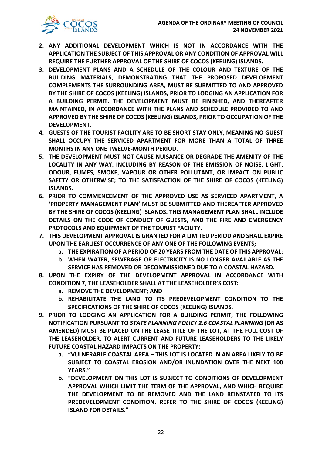

- **2. ANY ADDITIONAL DEVELOPMENT WHICH IS NOT IN ACCORDANCE WITH THE APPLICATION THE SUBJECT OF THIS APPROVAL OR ANY CONDITION OF APPROVAL WILL REQUIRE THE FURTHER APPROVAL OF THE SHIRE OF COCOS (KEELING) ISLANDS.**
- **3. DEVELOPMENT PLANS AND A SCHEDULE OF THE COLOUR AND TEXTURE OF THE BUILDING MATERIALS, DEMONSTRATING THAT THE PROPOSED DEVELOPMENT COMPLEMENTS THE SURROUNDING AREA, MUST BE SUBMITTED TO AND APPROVED BY THE SHIRE OF COCOS (KEELING) ISLANDS, PRIOR TO LODGING AN APPLICATION FOR A BUILDING PERMIT. THE DEVELOPMENT MUST BE FINISHED, AND THEREAFTER MAINTAINED, IN ACCORDANCE WITH THE PLANS AND SCHEDULE PROVIDED TO AND APPROVED BY THE SHIRE OF COCOS (KEELING) ISLANDS, PRIOR TO OCCUPATION OF THE DEVELOPMENT.**
- **4. GUESTS OF THE TOURIST FACILITY ARE TO BE SHORT STAY ONLY, MEANING NO GUEST SHALL OCCUPY THE SERVICED APARTMENT FOR MORE THAN A TOTAL OF THREE MONTHS IN ANY ONE TWELVE-MONTH PERIOD.**
- **5. THE DEVELOPMENT MUST NOT CAUSE NUISANCE OR DEGRADE THE AMENITY OF THE LOCALITY IN ANY WAY, INCLUDING BY REASON OF THE EMISSION OF NOISE, LIGHT, ODOUR, FUMES, SMOKE, VAPOUR OR OTHER POLLUTANT, OR IMPACT ON PUBLIC SAFETY OR OTHERWISE; TO THE SATISFACTION OF THE SHIRE OF COCOS (KEELING) ISLANDS.**
- **6. PRIOR TO COMMENCEMENT OF THE APPROVED USE AS SERVICED APARTMENT, A 'PROPERTY MANAGEMENT PLAN' MUST BE SUBMITTED AND THEREAFTER APPROVED BY THE SHIRE OF COCOS (KEELING) ISLANDS. THIS MANAGEMENT PLAN SHALL INCLUDE DETAILS ON THE CODE OF CONDUCT OF GUESTS, AND THE FIRE AND EMERGENCY PROTOCOLS AND EQUIPMENT OF THE TOURIST FACILITY.**
- **7. THIS DEVELOPMENT APPROVAL IS GRANTED FOR A LIMITED PERIOD AND SHALL EXPIRE UPON THE EARLIEST OCCURRENCE OF ANY ONE OF THE FOLLOWING EVENTS;**
	- **a. THE EXPIRATION OF A PERIOD OF 20 YEARS FROM THE DATE OF THIS APPROVAL;**
	- **b. WHEN WATER, SEWERAGE OR ELECTRICITY IS NO LONGER AVAILABLE AS THE SERVICE HAS REMOVED OR DECOMMISSIONED DUE TO A COASTAL HAZARD.**
- **8. UPON THE EXPIRY OF THE DEVELOPMENT APPROVAL IN ACCORDANCE WITH CONDITION 7, THE LEASEHOLDER SHALL AT THE LEASEHOLDER'S COST:** 
	- **a. REMOVE THE DEVELOPMENT; AND**
	- **b. REHABILITATE THE LAND TO ITS PREDEVELOPMENT CONDITION TO THE SPECIFICATIONS OF THE SHIRE OF COCOS (KEELING) ISLANDS.**
- **9. PRIOR TO LODGING AN APPLICATION FOR A BUILDING PERMIT, THE FOLLOWING NOTIFICATION PURSUANT TO** *STATE PLANNING POLICY 2.6 COASTAL PLANNING* **(OR AS AMENDED) MUST BE PLACED ON THE LEASE TITLE OF THE LOT, AT THE FULL COST OF THE LEASEHOLDER, TO ALERT CURRENT AND FUTURE LEASEHOLDERS TO THE LIKELY FUTURE COASTAL HAZARD IMPACTS ON THE PROPERTY:**
	- **a. "VULNERABLE COASTAL AREA – THIS LOT IS LOCATED IN AN AREA LIKELY TO BE SUBJECT TO COASTAL EROSION AND/OR INUNDATION OVER THE NEXT 100 YEARS."**
	- **b. "DEVELOPMENT ON THIS LOT IS SUBJECT TO CONDITIONS OF DEVELOPMENT APPROVAL WHICH LIMIT THE TERM OF THE APPROVAL, AND WHICH REQUIRE THE DEVELOPMENT TO BE REMOVED AND THE LAND REINSTATED TO ITS PREDEVELOPMENT CONDITION. REFER TO THE SHIRE OF COCOS (KEELING) ISLAND FOR DETAILS."**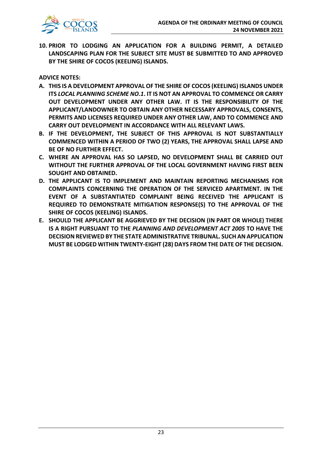

**10. PRIOR TO LODGING AN APPLICATION FOR A BUILDING PERMIT, A DETAILED LANDSCAPING PLAN FOR THE SUBJECT SITE MUST BE SUBMITTED TO AND APPROVED BY THE SHIRE OF COCOS (KEELING) ISLANDS.** 

**ADVICE NOTES:** 

- **A. THIS IS A DEVELOPMENT APPROVAL OF THE SHIRE OF COCOS (KEELING) ISLANDS UNDER ITS** *LOCAL PLANNING SCHEME NO.1***. IT IS NOT AN APPROVAL TO COMMENCE OR CARRY OUT DEVELOPMENT UNDER ANY OTHER LAW. IT IS THE RESPONSIBILITY OF THE APPLICANT/LANDOWNER TO OBTAIN ANY OTHER NECESSARY APPROVALS, CONSENTS, PERMITS AND LICENSES REQUIRED UNDER ANY OTHER LAW, AND TO COMMENCE AND CARRY OUT DEVELOPMENT IN ACCORDANCE WITH ALL RELEVANT LAWS.**
- **B. IF THE DEVELOPMENT, THE SUBJECT OF THIS APPROVAL IS NOT SUBSTANTIALLY COMMENCED WITHIN A PERIOD OF TWO (2) YEARS, THE APPROVAL SHALL LAPSE AND BE OF NO FURTHER EFFECT.**
- **C. WHERE AN APPROVAL HAS SO LAPSED, NO DEVELOPMENT SHALL BE CARRIED OUT WITHOUT THE FURTHER APPROVAL OF THE LOCAL GOVERNMENT HAVING FIRST BEEN SOUGHT AND OBTAINED.**
- **D. THE APPLICANT IS TO IMPLEMENT AND MAINTAIN REPORTING MECHANISMS FOR COMPLAINTS CONCERNING THE OPERATION OF THE SERVICED APARTMENT. IN THE EVENT OF A SUBSTANTIATED COMPLAINT BEING RECEIVED THE APPLICANT IS REQUIRED TO DEMONSTRATE MITIGATION RESPONSE(S) TO THE APPROVAL OF THE SHIRE OF COCOS (KEELING) ISLANDS.**
- **E. SHOULD THE APPLICANT BE AGGRIEVED BY THE DECISION (IN PART OR WHOLE) THERE IS A RIGHT PURSUANT TO THE** *PLANNING AND DEVELOPMENT ACT 2005* **TO HAVE THE DECISION REVIEWED BY THE STATE ADMINISTRATIVE TRIBUNAL. SUCH AN APPLICATION MUST BE LODGED WITHIN TWENTY-EIGHT (28) DAYS FROM THE DATE OF THE DECISION.**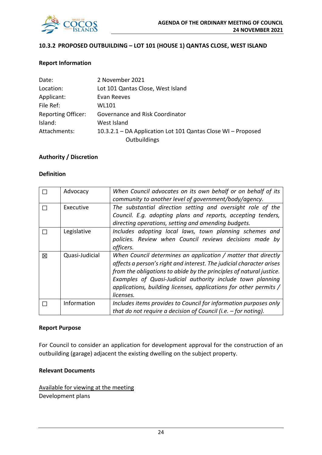

# **10.3.2 PROPOSED OUTBUILDING – LOT 101 (HOUSE 1) QANTAS CLOSE, WEST ISLAND**

# **Report Information**

| Date:                     | 2 November 2021                                              |
|---------------------------|--------------------------------------------------------------|
| Location:                 | Lot 101 Qantas Close, West Island                            |
| Applicant:                | Evan Reeves                                                  |
| File Ref:                 | WL101                                                        |
| <b>Reporting Officer:</b> | Governance and Risk Coordinator                              |
| Island:                   | West Island                                                  |
| Attachments:              | 10.3.2.1 – DA Application Lot 101 Qantas Close WI – Proposed |
|                           | Outbuildings                                                 |

# **Authority / Discretion**

#### **Definition**

|   | Advocacy       | When Council advocates on its own behalf or on behalf of its<br>community to another level of government/body/agency.                                                                                                                                                                                                                                        |
|---|----------------|--------------------------------------------------------------------------------------------------------------------------------------------------------------------------------------------------------------------------------------------------------------------------------------------------------------------------------------------------------------|
|   | Executive      | The substantial direction setting and oversight role of the<br>Council. E.g. adopting plans and reports, accepting tenders,<br>directing operations, setting and amending budgets.                                                                                                                                                                           |
|   | Legislative    | Includes adopting local laws, town planning schemes and<br>policies. Review when Council reviews decisions made by<br>officers.                                                                                                                                                                                                                              |
| 冈 | Quasi-Judicial | When Council determines an application / matter that directly<br>affects a person's right and interest. The judicial character arises<br>from the obligations to abide by the principles of natural justice.<br>Examples of Quasi-Judicial authority include town planning<br>applications, building licenses, applications for other permits /<br>licenses. |
|   | Information    | Includes items provides to Council for information purposes only<br>that do not require a decision of Council (i.e. $-$ for noting).                                                                                                                                                                                                                         |

#### **Report Purpose**

For Council to consider an application for development approval for the construction of an outbuilding (garage) adjacent the existing dwelling on the subject property.

# **Relevant Documents**

Available for viewing at the meeting Development plans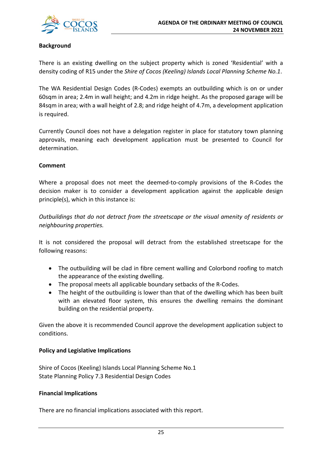

# **Background**

There is an existing dwelling on the subject property which is zoned 'Residential' with a density coding of R15 under the *Shire of Cocos (Keeling) Islands Local Planning Scheme No.1*.

The WA Residential Design Codes (R-Codes) exempts an outbuilding which is on or under 60sqm in area; 2.4m in wall height; and 4.2m in ridge height. As the proposed garage will be 84sqm in area; with a wall height of 2.8; and ridge height of 4.7m, a development application is required.

Currently Council does not have a delegation register in place for statutory town planning approvals, meaning each development application must be presented to Council for determination.

# **Comment**

Where a proposal does not meet the deemed-to-comply provisions of the R-Codes the decision maker is to consider a development application against the applicable design principle(s), which in this instance is:

*Outbuildings that do not detract from the streetscape or the visual amenity of residents or neighbouring properties.* 

It is not considered the proposal will detract from the established streetscape for the following reasons:

- The outbuilding will be clad in fibre cement walling and Colorbond roofing to match the appearance of the existing dwelling.
- The proposal meets all applicable boundary setbacks of the R-Codes.
- The height of the outbuilding is lower than that of the dwelling which has been built with an elevated floor system, this ensures the dwelling remains the dominant building on the residential property.

Given the above it is recommended Council approve the development application subject to conditions.

# **Policy and Legislative Implications**

Shire of Cocos (Keeling) Islands Local Planning Scheme No.1 State Planning Policy 7.3 Residential Design Codes

# **Financial Implications**

There are no financial implications associated with this report.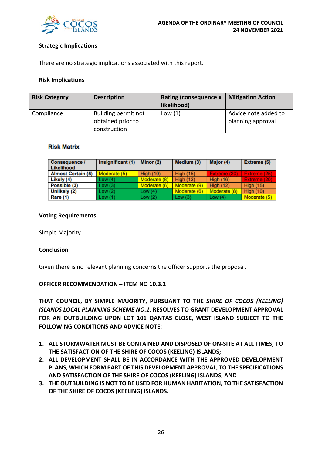

# **Strategic Implications**

There are no strategic implications associated with this report.

### **Risk Implications**

| <b>Risk Category</b> | <b>Description</b>                       | <b>Rating (consequence x</b><br>likelihood) | <b>Mitigation Action</b>                  |
|----------------------|------------------------------------------|---------------------------------------------|-------------------------------------------|
| Compliance           | Building permit not<br>obtained prior to | Low $(1)$                                   | Advice note added to<br>planning approval |
|                      | construction                             |                                             |                                           |

#### **Risk Matrix**

| <b>Consequence /</b><br>Likelihood | Insignificant (1) | Minor (2)        | Medium (3)       | Major (4)        | Extreme (5)      |
|------------------------------------|-------------------|------------------|------------------|------------------|------------------|
| <b>Almost Certain (5)</b>          | Moderate (5)      | <b>High (10)</b> | <b>High (15)</b> | Extreme (20)     | Extreme (25).    |
| Likely (4)                         | Low(4)            | Moderate (8)     | <b>High (12)</b> | <b>High (16)</b> | Extreme (20)     |
| Possible (3)                       | Low(3)            | Moderate (6)     | Moderate (9)     | <b>High (12)</b> | <b>High (15)</b> |
| Unlikely (2)                       | Low(2)            | Low $(4)$        | Moderate (6)     | Moderate (8)     | <b>High (10)</b> |
| <b>Rare (1)</b>                    | Low(1)            | Low(2)           | Low $(3)$        | Low $(4)$        | Moderate (5)     |

#### **Voting Requirements**

Simple Majority

# **Conclusion**

Given there is no relevant planning concerns the officer supports the proposal.

# **OFFICER RECOMMENDATION – ITEM NO 10.3.2**

**THAT COUNCIL, BY SIMPLE MAJORITY, PURSUANT TO THE** *SHIRE OF COCOS (KEELING) ISLANDS LOCAL PLANNING SCHEME NO.1***, RESOLVES TO GRANT DEVELOPMENT APPROVAL FOR AN OUTBUILDING UPON LOT 101 QANTAS CLOSE, WEST ISLAND SUBJECT TO THE FOLLOWING CONDITIONS AND ADVICE NOTE:** 

- **1. ALL STORMWATER MUST BE CONTAINED AND DISPOSED OF ON-SITE AT ALL TIMES, TO THE SATISFACTION OF THE SHIRE OF COCOS (KEELING) ISLANDS;**
- **2. ALL DEVELOPMENT SHALL BE IN ACCORDANCE WITH THE APPROVED DEVELOPMENT PLANS, WHICH FORM PART OF THIS DEVELOPMENT APPROVAL, TO THE SPECIFICATIONS AND SATISFACTION OF THE SHIRE OF COCOS (KEELING) ISLANDS; AND**
- **3. THE OUTBUILDING IS NOT TO BE USED FOR HUMAN HABITATION, TO THE SATISFACTION OF THE SHIRE OF COCOS (KEELING) ISLANDS.**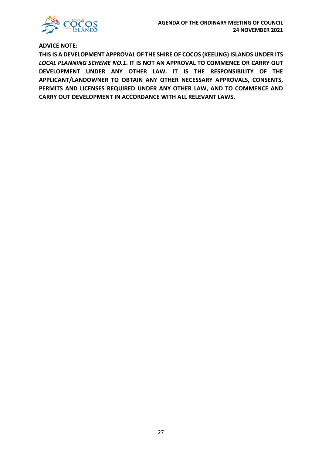

**ADVICE NOTE:** 

**THIS IS A DEVELOPMENT APPROVAL OF THE SHIRE OF COCOS (KEELING) ISLANDS UNDER ITS**  *LOCAL PLANNING SCHEME NO.1***. IT IS NOT AN APPROVAL TO COMMENCE OR CARRY OUT DEVELOPMENT UNDER ANY OTHER LAW. IT IS THE RESPONSIBILITY OF THE APPLICANT/LANDOWNER TO OBTAIN ANY OTHER NECESSARY APPROVALS, CONSENTS, PERMITS AND LICENSES REQUIRED UNDER ANY OTHER LAW, AND TO COMMENCE AND CARRY OUT DEVELOPMENT IN ACCORDANCE WITH ALL RELEVANT LAWS.**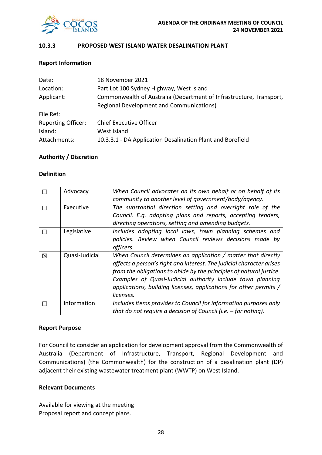

# **10.3.3 PROPOSED WEST ISLAND WATER DESALINATION PLANT**

# **Report Information**

| Date:                     | 18 November 2021                                                    |
|---------------------------|---------------------------------------------------------------------|
| Location:                 | Part Lot 100 Sydney Highway, West Island                            |
| Applicant:                | Commonwealth of Australia (Department of Infrastructure, Transport, |
|                           | <b>Regional Development and Communications)</b>                     |
| File Ref:                 |                                                                     |
| <b>Reporting Officer:</b> | <b>Chief Executive Officer</b>                                      |
| Island:                   | West Island                                                         |
| Attachments:              | 10.3.3.1 - DA Application Desalination Plant and Borefield          |

#### **Authority / Discretion**

#### **Definition**

|   | Advocacy       | When Council advocates on its own behalf or on behalf of its<br>community to another level of government/body/agency.                                                                                                                                                                                                                                        |
|---|----------------|--------------------------------------------------------------------------------------------------------------------------------------------------------------------------------------------------------------------------------------------------------------------------------------------------------------------------------------------------------------|
|   | Executive      | The substantial direction setting and oversight role of the<br>Council. E.g. adopting plans and reports, accepting tenders,<br>directing operations, setting and amending budgets.                                                                                                                                                                           |
|   | Legislative    | Includes adopting local laws, town planning schemes and<br>policies. Review when Council reviews decisions made by<br>officers.                                                                                                                                                                                                                              |
| 区 | Quasi-Judicial | When Council determines an application / matter that directly<br>affects a person's right and interest. The judicial character arises<br>from the obligations to abide by the principles of natural justice.<br>Examples of Quasi-Judicial authority include town planning<br>applications, building licenses, applications for other permits /<br>licenses. |
|   | Information    | Includes items provides to Council for information purposes only<br>that do not require a decision of Council (i.e. $-$ for noting).                                                                                                                                                                                                                         |

#### **Report Purpose**

For Council to consider an application for development approval from the Commonwealth of Australia (Department of Infrastructure, Transport, Regional Development and Communications) (the Commonwealth) for the construction of a desalination plant (DP) adjacent their existing wastewater treatment plant (WWTP) on West Island.

# **Relevant Documents**

Available for viewing at the meeting Proposal report and concept plans.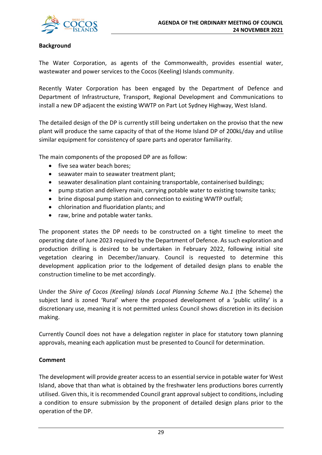

# **Background**

The Water Corporation, as agents of the Commonwealth, provides essential water, wastewater and power services to the Cocos (Keeling) Islands community.

Recently Water Corporation has been engaged by the Department of Defence and Department of Infrastructure, Transport, Regional Development and Communications to install a new DP adjacent the existing WWTP on Part Lot Sydney Highway, West Island.

The detailed design of the DP is currently still being undertaken on the proviso that the new plant will produce the same capacity of that of the Home Island DP of 200kL/day and utilise similar equipment for consistency of spare parts and operator familiarity.

The main components of the proposed DP are as follow:

- five sea water beach bores;
- seawater main to seawater treatment plant;
- seawater desalination plant containing transportable, containerised buildings;
- pump station and delivery main, carrying potable water to existing townsite tanks;
- brine disposal pump station and connection to existing WWTP outfall;
- chlorination and fluoridation plants; and
- raw, brine and potable water tanks.

The proponent states the DP needs to be constructed on a tight timeline to meet the operating date of June 2023 required by the Department of Defence. As such exploration and production drilling is desired to be undertaken in February 2022, following initial site vegetation clearing in December/January. Council is requested to determine this development application prior to the lodgement of detailed design plans to enable the construction timeline to be met accordingly.

Under the *Shire of Cocos (Keeling) Islands Local Planning Scheme No.1* (the Scheme) the subject land is zoned 'Rural' where the proposed development of a 'public utility' is a discretionary use, meaning it is not permitted unless Council shows discretion in its decision making.

Currently Council does not have a delegation register in place for statutory town planning approvals, meaning each application must be presented to Council for determination.

# **Comment**

The development will provide greater access to an essential service in potable water for West Island, above that than what is obtained by the freshwater lens productions bores currently utilised. Given this, it is recommended Council grant approval subject to conditions, including a condition to ensure submission by the proponent of detailed design plans prior to the operation of the DP.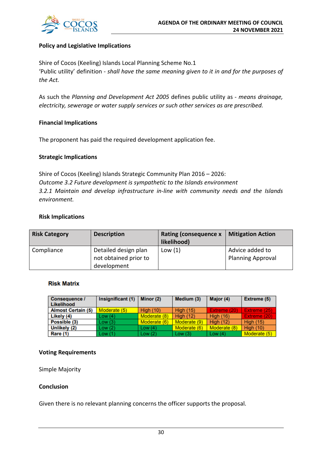

# **Policy and Legislative Implications**

Shire of Cocos (Keeling) Islands Local Planning Scheme No.1 'Public utility' definition - *shall have the same meaning given to it in and for the purposes of the Act.*

As such the *Planning and Development Act 2005* defines public utility as - *means drainage, electricity, sewerage or water supply services or such other services as are prescribed.*

# **Financial Implications**

The proponent has paid the required development application fee.

# **Strategic Implications**

Shire of Cocos (Keeling) Islands Strategic Community Plan 2016 – 2026: *Outcome 3.2 Future development is sympathetic to the Islands environment 3.2.1 Maintain and develop infrastructure in-line with community needs and the Islands environment.*

#### **Risk Implications**

| <b>Risk Category</b> | <b>Description</b>                                           | <b>Rating (consequence x</b><br>likelihood) | <b>Mitigation Action</b>                    |
|----------------------|--------------------------------------------------------------|---------------------------------------------|---------------------------------------------|
| Compliance           | Detailed design plan<br>not obtained prior to<br>development | Low(1)                                      | Advice added to<br><b>Planning Approval</b> |

#### **Risk Matrix**

| <b>Consequence /</b><br>Likelihood | Insignificant (1) | Minor (2)        | Medium (3)       | Major (4)        | <b>Extreme (5)</b> |
|------------------------------------|-------------------|------------------|------------------|------------------|--------------------|
| <b>Almost Certain (5)</b>          | Moderate (5)      | <b>High (10)</b> | <b>High (15)</b> | Extreme (20)     | Extreme (25)       |
| Likely (4)                         | Low(4)            | Moderate (8)     | <b>High (12)</b> | <b>High (16)</b> | Extreme (20)       |
| Possible (3)                       | Low(3)            | Moderate (6)     | Moderate (9)     | <b>High (12)</b> | <b>High (15)</b>   |
| Unlikely (2)                       | Low(2)            | Low $(4)$        | Moderate (6)     | Moderate (8)     | <b>High (10)</b>   |
| Rare (1)                           | Low(1)            | Low(2)           | Low $(3)$        | Low $(4)$        | Moderate (5)       |

# **Voting Requirements**

Simple Majority

#### **Conclusion**

Given there is no relevant planning concerns the officer supports the proposal.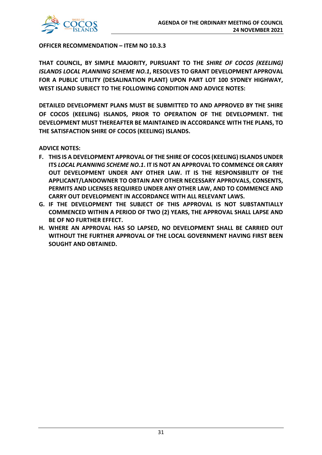

**OFFICER RECOMMENDATION – ITEM NO 10.3.3**

**THAT COUNCIL, BY SIMPLE MAJORITY, PURSUANT TO THE** *SHIRE OF COCOS (KEELING) ISLANDS LOCAL PLANNING SCHEME NO.1***, RESOLVES TO GRANT DEVELOPMENT APPROVAL FOR A PUBLIC UTILITY (DESALINATION PLANT) UPON PART LOT 100 SYDNEY HIGHWAY, WEST ISLAND SUBJECT TO THE FOLLOWING CONDITION AND ADVICE NOTES:** 

**DETAILED DEVELOPMENT PLANS MUST BE SUBMITTED TO AND APPROVED BY THE SHIRE OF COCOS (KEELING) ISLANDS, PRIOR TO OPERATION OF THE DEVELOPMENT. THE DEVELOPMENT MUST THEREAFTER BE MAINTAINED IN ACCORDANCE WITH THE PLANS, TO THE SATISFACTION SHIRE OF COCOS (KEELING) ISLANDS.** 

**ADVICE NOTES:** 

- **F. THIS IS A DEVELOPMENT APPROVAL OF THE SHIRE OF COCOS (KEELING) ISLANDS UNDER ITS** *LOCAL PLANNING SCHEME NO.1***. IT IS NOT AN APPROVAL TO COMMENCE OR CARRY OUT DEVELOPMENT UNDER ANY OTHER LAW. IT IS THE RESPONSIBILITY OF THE APPLICANT/LANDOWNER TO OBTAIN ANY OTHER NECESSARY APPROVALS, CONSENTS, PERMITS AND LICENSES REQUIRED UNDER ANY OTHER LAW, AND TO COMMENCE AND CARRY OUT DEVELOPMENT IN ACCORDANCE WITH ALL RELEVANT LAWS.**
- **G. IF THE DEVELOPMENT THE SUBJECT OF THIS APPROVAL IS NOT SUBSTANTIALLY COMMENCED WITHIN A PERIOD OF TWO (2) YEARS, THE APPROVAL SHALL LAPSE AND BE OF NO FURTHER EFFECT.**
- **H. WHERE AN APPROVAL HAS SO LAPSED, NO DEVELOPMENT SHALL BE CARRIED OUT WITHOUT THE FURTHER APPROVAL OF THE LOCAL GOVERNMENT HAVING FIRST BEEN SOUGHT AND OBTAINED.**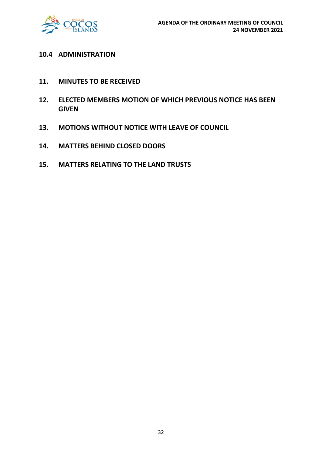

# **10.4 ADMINISTRATION**

- **11. MINUTES TO BE RECEIVED**
- **12. ELECTED MEMBERS MOTION OF WHICH PREVIOUS NOTICE HAS BEEN GIVEN**
- **13. MOTIONS WITHOUT NOTICE WITH LEAVE OF COUNCIL**
- **14. MATTERS BEHIND CLOSED DOORS**
- **15. MATTERS RELATING TO THE LAND TRUSTS**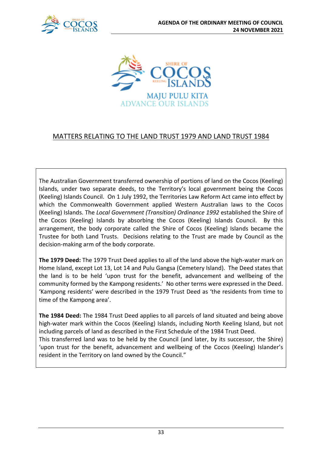



# MATTERS RELATING TO THE LAND TRUST 1979 AND LAND TRUST 1984

The Australian Government transferred ownership of portions of land on the Cocos (Keeling) Islands, under two separate deeds, to the Territory's local government being the Cocos (Keeling) Islands Council. On 1 July 1992, the Territories Law Reform Act came into effect by which the Commonwealth Government applied Western Australian laws to the Cocos (Keeling) Islands. The *Local Government (Transition) Ordinance 1992* established the Shire of the Cocos (Keeling) Islands by absorbing the Cocos (Keeling) Islands Council. By this arrangement, the body corporate called the Shire of Cocos (Keeling) Islands became the Trustee for both Land Trusts. Decisions relating to the Trust are made by Council as the decision-making arm of the body corporate.

**The 1979 Deed:** The 1979 Trust Deed applies to all of the land above the high-water mark on Home Island, except Lot 13, Lot 14 and Pulu Gangsa (Cemetery Island). The Deed states that the land is to be held 'upon trust for the benefit, advancement and wellbeing of the community formed by the Kampong residents.' No other terms were expressed in the Deed. 'Kampong residents' were described in the 1979 Trust Deed as 'the residents from time to time of the Kampong area'.

**The 1984 Deed:** The 1984 Trust Deed applies to all parcels of land situated and being above high-water mark within the Cocos (Keeling) Islands, including North Keeling Island, but not including parcels of land as described in the First Schedule of the 1984 Trust Deed. This transferred land was to be held by the Council (and later, by its successor, the Shire) 'upon trust for the benefit, advancement and wellbeing of the Cocos (Keeling) Islander's resident in the Territory on land owned by the Council."